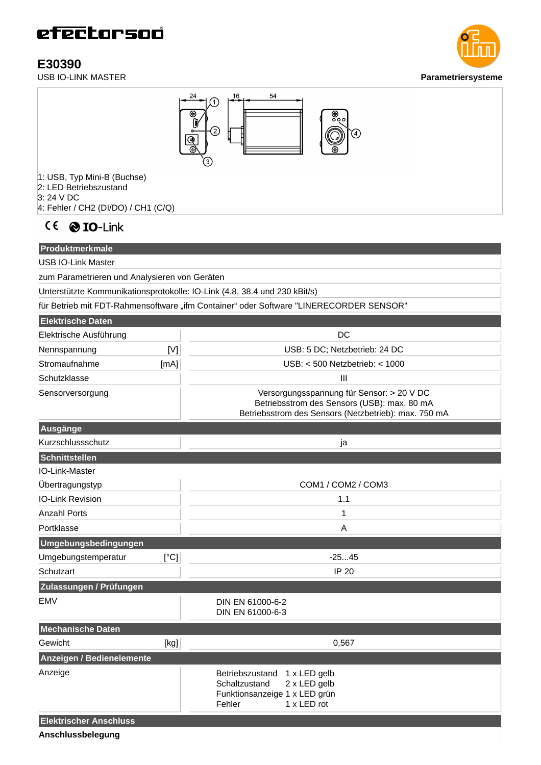**E30390**<br>USB IO-LINK MASTER





- 1: USB, Typ Mini-B (Buchse)
- 2: LED Betriebszustand
- 3: 24 V DC
- 4: Fehler / CH2 (DI/DO) / CH1 (C/Q)



**Produktmerkmale** USB IO-Link Master zum Parametrieren und Analysieren von Geräten Unterstützte Kommunikationsprotokolle: IO-Link (4.8, 38.4 und 230 kBit/s)

für Betrieb mit FDT-Rahmensoftware "ifm Container" oder Software "LINERECORDER SENSOR"

| <b>Elektrische Daten</b>         |      |                                                                                                                                                  |
|----------------------------------|------|--------------------------------------------------------------------------------------------------------------------------------------------------|
| Elektrische Ausführung           |      | <b>DC</b>                                                                                                                                        |
| Nennspannung                     | [N]  | USB: 5 DC; Netzbetrieb: 24 DC                                                                                                                    |
| Stromaufnahme                    | [mA] | USB: < 500 Netzbetrieb: < 1000                                                                                                                   |
| Schutzklasse                     |      | $\mathbf{III}$                                                                                                                                   |
| Sensorversorgung                 |      | Versorgungsspannung für Sensor: > 20 V DC<br>Betriebsstrom des Sensors (USB): max. 80 mA<br>Betriebsstrom des Sensors (Netzbetrieb): max. 750 mA |
| Ausgänge                         |      |                                                                                                                                                  |
| Kurzschlussschutz                |      | ja                                                                                                                                               |
| Schnittstellen                   |      |                                                                                                                                                  |
| IO-Link-Master                   |      |                                                                                                                                                  |
| Übertragungstyp                  |      | COM1 / COM2 / COM3                                                                                                                               |
| <b>IO-Link Revision</b>          |      | 1.1                                                                                                                                              |
| <b>Anzahl Ports</b>              |      | 1                                                                                                                                                |
| Portklasse                       |      | A                                                                                                                                                |
| Umgebungsbedingungen             |      |                                                                                                                                                  |
| Umgebungstemperatur              | [°C] | $-2545$                                                                                                                                          |
| Schutzart                        |      | IP 20                                                                                                                                            |
| Zulassungen / Prüfungen          |      |                                                                                                                                                  |
| <b>EMV</b>                       |      | DIN EN 61000-6-2<br>DIN EN 61000-6-3                                                                                                             |
| <b>Mechanische Daten</b>         |      |                                                                                                                                                  |
| Gewicht                          | [kg] | 0,567                                                                                                                                            |
| <b>Anzeigen / Bedienelemente</b> |      |                                                                                                                                                  |
| Anzeige                          |      | Betriebszustand<br>$1 \times$ LED gelb<br>Schaltzustand<br>2 x LED gelb<br>Funktionsanzeige 1 x LED grün<br>Fehler<br>1 x LED rot                |
| <b>Elektrischer Anschluss</b>    |      |                                                                                                                                                  |

**Anschlussbelegung**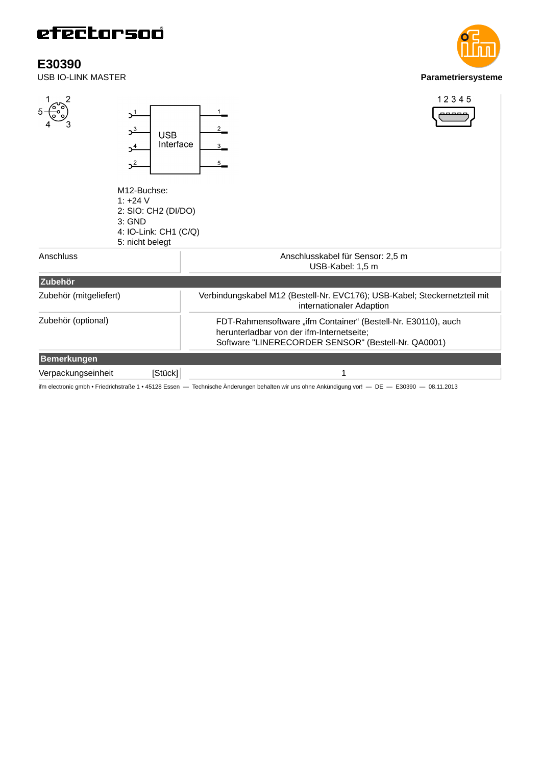**E30390**<br>**USB IO-LINK MASTER** 



ifm electronic gmbh • Friedrichstraße 1 • 45128 Essen — Technische Änderungen behalten wir uns ohne Ankündigung vor! — DE — E30390 — 08.11.2013

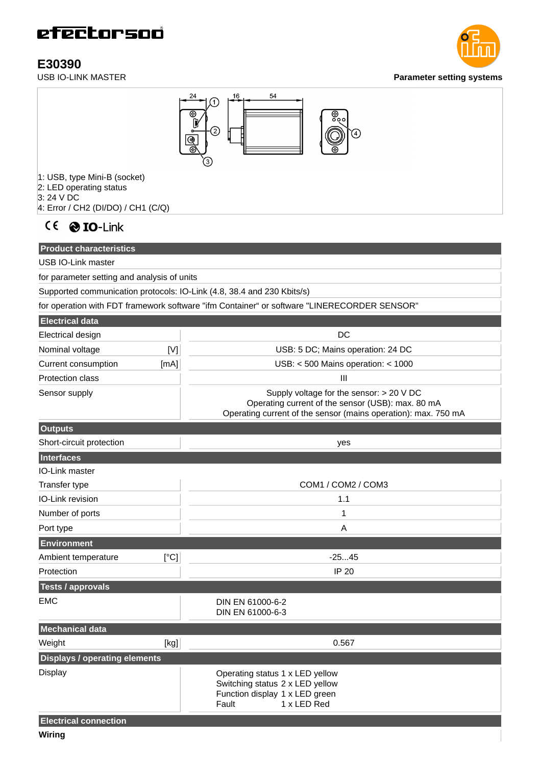**E30390**<br>USB IO-LINK MASTER





3: 24 V DC 4: Error / CH2 (DI/DO) / CH1 (C/Q)

CE @ IO-Link

**Product characteristics**

USB IO-Link master

for parameter setting and analysis of units

Supported communication protocols: IO-Link (4.8, 38.4 and 230 Kbits/s)

for operation with FDT framework software "ifm Container" or software "LINERECORDER SENSOR"

| <b>Electrical data</b>  |                              |                                                                                                                                                                   |
|-------------------------|------------------------------|-------------------------------------------------------------------------------------------------------------------------------------------------------------------|
| Electrical design       |                              | DC.                                                                                                                                                               |
| Nominal voltage         | $\lbrack \mathsf{V} \rbrack$ | USB: 5 DC; Mains operation: 24 DC                                                                                                                                 |
| Current consumption     | [mA]                         | $USB: < 500$ Mains operation: $< 1000$                                                                                                                            |
| <b>Protection class</b> |                              | Ш                                                                                                                                                                 |
| Sensor supply           |                              | Supply voltage for the sensor: $>$ 20 V DC<br>Operating current of the sensor (USB): max. 80 mA<br>Operating current of the sensor (mains operation): max. 750 mA |

| <b>Outputs</b>                       |      |                                                                                                                              |
|--------------------------------------|------|------------------------------------------------------------------------------------------------------------------------------|
| Short-circuit protection             |      | yes                                                                                                                          |
| Interfaces                           |      |                                                                                                                              |
| <b>IO-Link master</b>                |      |                                                                                                                              |
| Transfer type                        |      | COM1 / COM2 / COM3                                                                                                           |
| IO-Link revision                     |      | 1.1                                                                                                                          |
| Number of ports                      |      | $\mathbf{1}$                                                                                                                 |
| Port type                            |      | A                                                                                                                            |
| <b>Environment</b>                   |      |                                                                                                                              |
| Ambient temperature                  | [°C] | $-2545$                                                                                                                      |
| Protection                           |      | <b>IP 20</b>                                                                                                                 |
| <b>Tests / approvals</b>             |      |                                                                                                                              |
| <b>EMC</b>                           |      | DIN EN 61000-6-2<br>DIN EN 61000-6-3                                                                                         |
| <b>Mechanical data</b>               |      |                                                                                                                              |
| Weight                               | [kg] | 0.567                                                                                                                        |
| <b>Displays / operating elements</b> |      |                                                                                                                              |
| <b>Display</b>                       |      | Operating status 1 x LED yellow<br>Switching status 2 x LED yellow<br>Function display 1 x LED green<br>1 x LED Red<br>Fault |
| <b>Electrical connection</b>         |      |                                                                                                                              |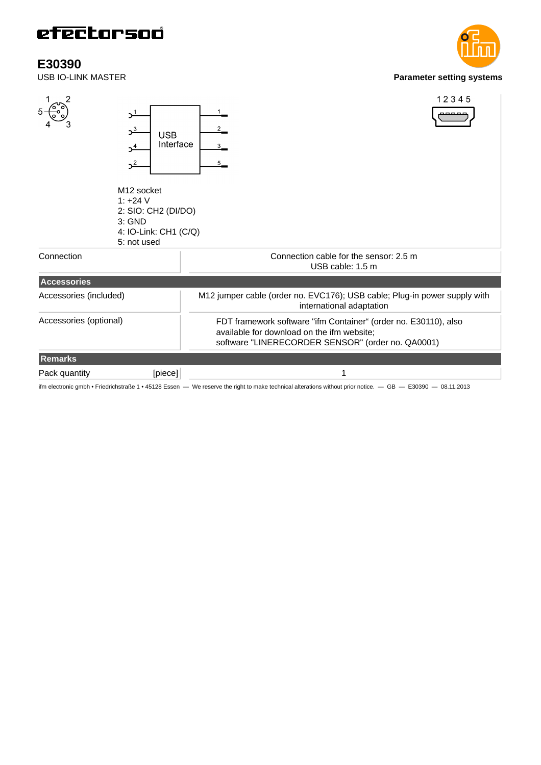**E30390**<br>USB IO-LINK MASTER



ifm electronic gmbh • Friedrichstraße 1 • 45128 Essen — We reserve the right to make technical alterations without prior notice. — GB — E30390 — 08.11.2013

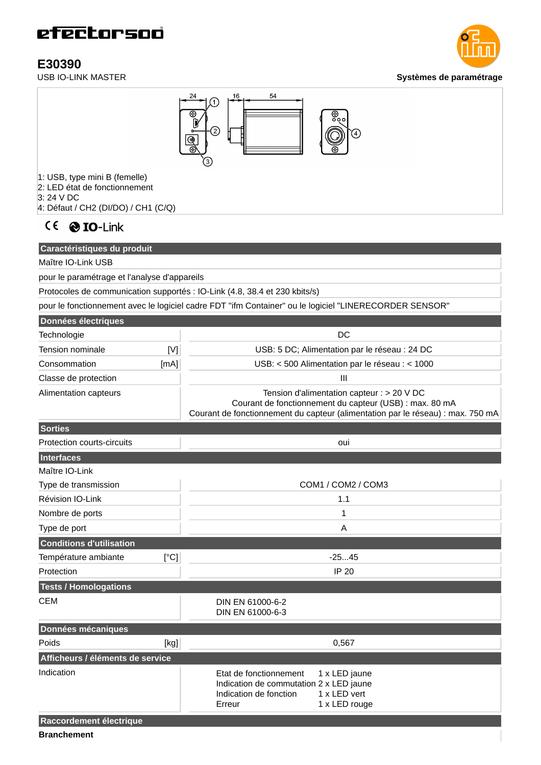**E30390**<br>USB IO-LINK MASTER

**Systèmes de paramétrage** 



- 1: USB, type mini B (femelle)
- 2: LED état de fonctionnement
- 3: 24 V DC
- 4: Défaut / CH2 (DI/DO) / CH1 (C/Q)



### **Caractéristiques du produit**

Maître IO-Link USB

pour le paramétrage et l'analyse d'appareils

Protocoles de communication supportés : IO-Link (4.8, 38.4 et 230 kbits/s)

pour le fonctionnement avec le logiciel cadre FDT "ifm Container" ou le logiciel "LINERECORDER SENSOR"

| Données électriques   |      |                                                                                                                                                                                            |
|-----------------------|------|--------------------------------------------------------------------------------------------------------------------------------------------------------------------------------------------|
| Technologie           |      | DC.                                                                                                                                                                                        |
| Tension nominale      | M    | USB: 5 DC; Alimentation par le réseau : 24 DC                                                                                                                                              |
| Consommation          | [mA] | USB: < 500 Alimentation par le réseau : < 1000                                                                                                                                             |
| Classe de protection  |      | Ш                                                                                                                                                                                          |
| Alimentation capteurs |      | Tension d'alimentation capteur : $> 20$ V DC<br>Courant de fonctionnement du capteur (USB) : max. 80 mA<br>Courant de fonctionnement du capteur (alimentation par le réseau) : max. 750 mA |

| Sorties                          |                                                                                                                                                         |
|----------------------------------|---------------------------------------------------------------------------------------------------------------------------------------------------------|
| Protection courts-circuits       | oui                                                                                                                                                     |
| Interfaces                       |                                                                                                                                                         |
| Maître IO-Link                   |                                                                                                                                                         |
| Type de transmission             | COM1 / COM2 / COM3                                                                                                                                      |
| Révision IO-Link                 | 1.1                                                                                                                                                     |
| Nombre de ports                  | $\mathbf 1$                                                                                                                                             |
| Type de port                     | A                                                                                                                                                       |
| <b>Conditions d'utilisation</b>  |                                                                                                                                                         |
| Température ambiante<br>[°C]     | $-2545$                                                                                                                                                 |
| Protection                       | <b>IP 20</b>                                                                                                                                            |
| <b>Tests / Homologations</b>     |                                                                                                                                                         |
| <b>CEM</b>                       | DIN EN 61000-6-2<br>DIN EN 61000-6-3                                                                                                                    |
| Données mécaniques               |                                                                                                                                                         |
| [kg]<br>Poids                    | 0,567                                                                                                                                                   |
| Afficheurs / éléments de service |                                                                                                                                                         |
| Indication                       | Etat de fonctionnement<br>1 x LED jaune<br>Indication de commutation 2 x LED jaune<br>Indication de fonction<br>1 x LED vert<br>1 x LED rouge<br>Erreur |
| Raccordement électrique          |                                                                                                                                                         |